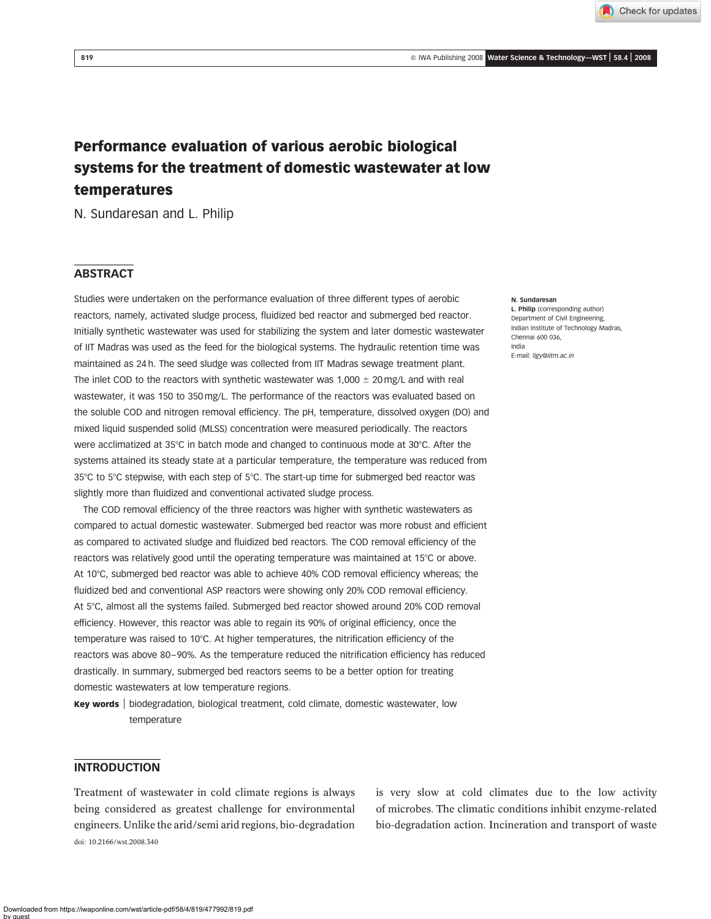Check for updates

# Performance evaluation of various aerobic biological systems for the treatment of domestic wastewater at low temperatures

N. Sundaresan and L. Philip

# **ABSTRACT**

Studies were undertaken on the performance evaluation of three different types of aerobic reactors, namely, activated sludge process, fluidized bed reactor and submerged bed reactor. Initially synthetic wastewater was used for stabilizing the system and later domestic wastewater of IIT Madras was used as the feed for the biological systems. The hydraulic retention time was maintained as 24 h. The seed sludge was collected from IIT Madras sewage treatment plant. The inlet COD to the reactors with synthetic wastewater was  $1,000 \pm 20$  mg/L and with real wastewater, it was 150 to 350 mg/L. The performance of the reactors was evaluated based on the soluble COD and nitrogen removal efficiency. The pH, temperature, dissolved oxygen (DO) and mixed liquid suspended solid (MLSS) concentration were measured periodically. The reactors were acclimatized at  $35^{\circ}$ C in batch mode and changed to continuous mode at  $30^{\circ}$ C. After the systems attained its steady state at a particular temperature, the temperature was reduced from 35°C to 5°C stepwise, with each step of 5°C. The start-up time for submerged bed reactor was slightly more than fluidized and conventional activated sludge process.

The COD removal efficiency of the three reactors was higher with synthetic wastewaters as compared to actual domestic wastewater. Submerged bed reactor was more robust and efficient as compared to activated sludge and fluidized bed reactors. The COD removal efficiency of the reactors was relatively good until the operating temperature was maintained at 15°C or above. At 10°C, submerged bed reactor was able to achieve 40% COD removal efficiency whereas; the fluidized bed and conventional ASP reactors were showing only 20% COD removal efficiency. At 5°C, almost all the systems failed. Submerged bed reactor showed around 20% COD removal efficiency. However, this reactor was able to regain its 90% of original efficiency, once the temperature was raised to 10°C. At higher temperatures, the nitrification efficiency of the reactors was above 80–90%. As the temperature reduced the nitrification efficiency has reduced drastically. In summary, submerged bed reactors seems to be a better option for treating domestic wastewaters at low temperature regions.

Key words | biodegradation, biological treatment, cold climate, domestic wastewater, low temperature

# INTRODUCTION

Treatment of wastewater in cold climate regions is always being considered as greatest challenge for environmental engineers. Unlike the arid/semi arid regions, bio-degradation doi: 10.2166/wst.2008.340

is very slow at cold climates due to the low activity of microbes. The climatic conditions inhibit enzyme-related bio-degradation action. Incineration and transport of waste

#### N. Sundaresan

L. Philip (corresponding author) Department of Civil Engineering, Indian Institute of Technology Madras, Chennai 600 036, India E-mail: ligy@iitm.ac.in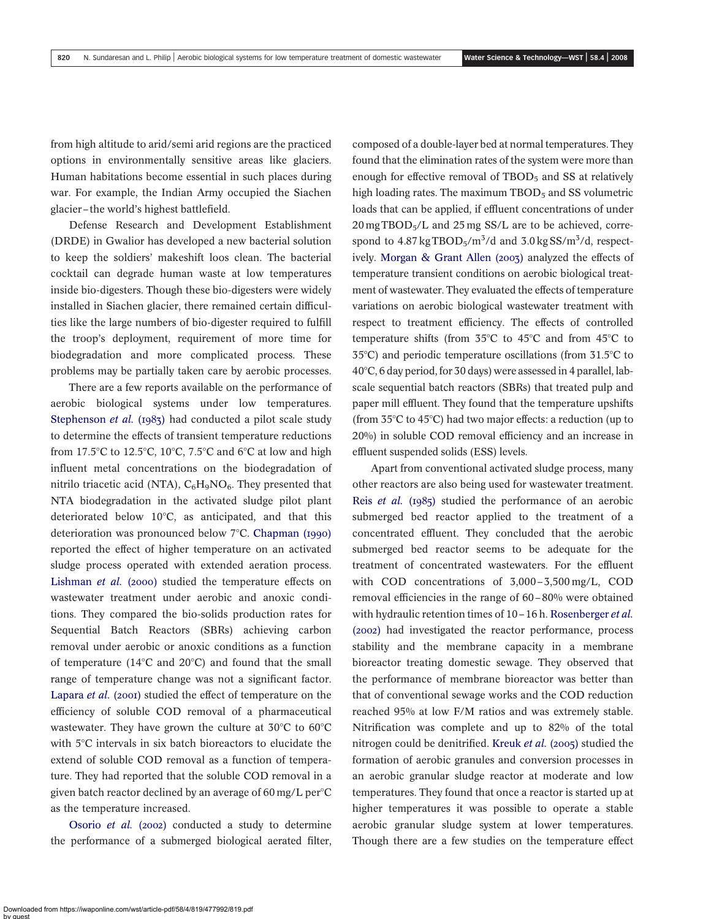from high altitude to arid/semi arid regions are the practiced options in environmentally sensitive areas like glaciers. Human habitations become essential in such places during war. For example, the Indian Army occupied the Siachen glacier–the world's highest battlefield.

Defense Research and Development Establishment (DRDE) in Gwalior has developed a new bacterial solution to keep the soldiers' makeshift loos clean. The bacterial cocktail can degrade human waste at low temperatures inside bio-digesters. Though these bio-digesters were widely installed in Siachen glacier, there remained certain difficulties like the large numbers of bio-digester required to fulfill the troop's deployment, requirement of more time for biodegradation and more complicated process. These problems may be partially taken care by aerobic processes.

There are a few reports available on the performance of aerobic biological systems under low temperatures. [Stephenson](#page-11-0) et al. (1983) had conducted a pilot scale study to determine the effects of transient temperature reductions from 17.5°C to 12.5°C, 10°C, 7.5°C and 6°C at low and high influent metal concentrations on the biodegradation of nitrilo triacetic acid (NTA),  $C_6H_9NO_6$ . They presented that NTA biodegradation in the activated sludge pilot plant deteriorated below 10°C, as anticipated, and that this deterioration was pronounced below  $7^{\circ}$ C. [Chapman \(1990\)](#page-10-0) reported the effect of higher temperature on an activated sludge process operated with extended aeration process. [Lishman](#page-10-0) *et al.* (2000) studied the temperature effects on wastewater treatment under aerobic and anoxic conditions. They compared the bio-solids production rates for Sequential Batch Reactors (SBRs) achieving carbon removal under aerobic or anoxic conditions as a function of temperature (14 $^{\circ}$ C and 20 $^{\circ}$ C) and found that the small range of temperature change was not a significant factor. [Lapara](#page-10-0) et al. (2001) studied the effect of temperature on the efficiency of soluble COD removal of a pharmaceutical wastewater. They have grown the culture at  $30^{\circ}$ C to  $60^{\circ}$ C with 5°C intervals in six batch bioreactors to elucidate the extend of soluble COD removal as a function of temperature. They had reported that the soluble COD removal in a given batch reactor declined by an average of  $60 \text{ mg/L}$  per $\textdegree C$ as the temperature increased.

[Osorio](#page-11-0) et al. (2002) conducted a study to determine the performance of a submerged biological aerated filter, composed of a double-layer bed at normal temperatures. They found that the elimination rates of the system were more than enough for effective removal of  $TBOD<sub>5</sub>$  and SS at relatively high loading rates. The maximum  $TBOD<sub>5</sub>$  and SS volumetric loads that can be applied, if effluent concentrations of under  $20 \,\text{mg}$  TBOD<sub>5</sub>/L and  $25 \,\text{mg}$  SS/L are to be achieved, correspond to  $4.87 \text{ kg} \text{ TBOD}_5/\text{m}^3/\text{d}$  and  $3.0 \text{ kg} \text{ S}\text{S/m}^3/\text{d}$ , respectively. [Morgan & Grant Allen \(2003\)](#page-11-0) analyzed the effects of temperature transient conditions on aerobic biological treatment of wastewater. They evaluated the effects of temperature variations on aerobic biological wastewater treatment with respect to treatment efficiency. The effects of controlled temperature shifts (from  $35^{\circ}$ C to  $45^{\circ}$ C and from  $45^{\circ}$ C to  $35^{\circ}$ C) and periodic temperature oscillations (from  $31.5^{\circ}$ C to  $40^{\circ}$ C, 6 day period, for 30 days) were assessed in 4 parallel, labscale sequential batch reactors (SBRs) that treated pulp and paper mill effluent. They found that the temperature upshifts (from  $35^{\circ}$ C to  $45^{\circ}$ C) had two major effects: a reduction (up to 20%) in soluble COD removal efficiency and an increase in effluent suspended solids (ESS) levels.

Apart from conventional activated sludge process, many other reactors are also being used for wastewater treatment. Reis et al. [\(1985\)](#page-10-0) studied the performance of an aerobic submerged bed reactor applied to the treatment of a concentrated effluent. They concluded that the aerobic submerged bed reactor seems to be adequate for the treatment of concentrated wastewaters. For the effluent with COD concentrations of 3,000–3,500 mg/L, COD removal efficiencies in the range of 60–80% were obtained with hydraulic retention times of 10–16 h. [Rosenberger](#page-11-0) et al. [\(2002\)](#page-11-0) had investigated the reactor performance, process stability and the membrane capacity in a membrane bioreactor treating domestic sewage. They observed that the performance of membrane bioreactor was better than that of conventional sewage works and the COD reduction reached 95% at low F/M ratios and was extremely stable. Nitrification was complete and up to 82% of the total nitrogen could be denitrified. [Kreuk](#page-10-0) *et al.* (2005) studied the formation of aerobic granules and conversion processes in an aerobic granular sludge reactor at moderate and low temperatures. They found that once a reactor is started up at higher temperatures it was possible to operate a stable aerobic granular sludge system at lower temperatures. Though there are a few studies on the temperature effect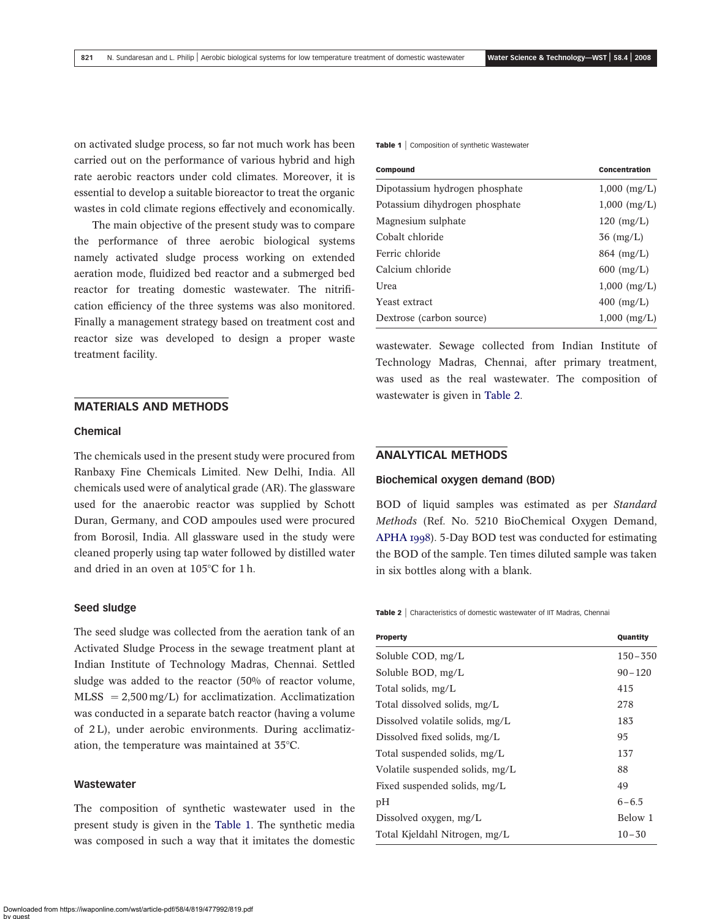<span id="page-2-0"></span>on activated sludge process, so far not much work has been carried out on the performance of various hybrid and high rate aerobic reactors under cold climates. Moreover, it is essential to develop a suitable bioreactor to treat the organic wastes in cold climate regions effectively and economically.

The main objective of the present study was to compare the performance of three aerobic biological systems namely activated sludge process working on extended aeration mode, fluidized bed reactor and a submerged bed reactor for treating domestic wastewater. The nitrification efficiency of the three systems was also monitored. Finally a management strategy based on treatment cost and reactor size was developed to design a proper waste treatment facility.

### MATERIALS AND METHODS

#### Chemical

The chemicals used in the present study were procured from Ranbaxy Fine Chemicals Limited. New Delhi, India. All chemicals used were of analytical grade (AR). The glassware used for the anaerobic reactor was supplied by Schott Duran, Germany, and COD ampoules used were procured from Borosil, India. All glassware used in the study were cleaned properly using tap water followed by distilled water and dried in an oven at  $105^{\circ}$ C for 1 h.

#### Seed sludge

The seed sludge was collected from the aeration tank of an Activated Sludge Process in the sewage treatment plant at Indian Institute of Technology Madras, Chennai. Settled sludge was added to the reactor (50% of reactor volume,  $MLSS = 2,500$  mg/L) for acclimatization. Acclimatization was conducted in a separate batch reactor (having a volume of 2 L), under aerobic environments. During acclimatization, the temperature was maintained at  $35^{\circ}$ C.

#### **Wastewater**

The composition of synthetic wastewater used in the present study is given in the Table 1. The synthetic media was composed in such a way that it imitates the domestic Table 1 | Composition of synthetic Wastewater

| Compound                       | Concentration  |
|--------------------------------|----------------|
| Dipotassium hydrogen phosphate | $1,000$ (mg/L) |
| Potassium dihydrogen phosphate | $1,000$ (mg/L) |
| Magnesium sulphate             | $120 \ (mg/L)$ |
| Cobalt chloride                | $36 \ (mg/L)$  |
| Ferric chloride                | $864 \ (mg/L)$ |
| Calcium chloride               | $600$ (mg/L)   |
| Urea                           | $1,000$ (mg/L) |
| Yeast extract                  | $400$ (mg/L)   |
| Dextrose (carbon source)       | $1,000$ (mg/L) |

wastewater. Sewage collected from Indian Institute of Technology Madras, Chennai, after primary treatment, was used as the real wastewater. The composition of wastewater is given in Table 2.

### ANALYTICAL METHODS

#### Biochemical oxygen demand (BOD)

BOD of liquid samples was estimated as per Standard Methods (Ref. No. 5210 BioChemical Oxygen Demand, [APHA 1998](#page-10-0)). 5-Day BOD test was conducted for estimating the BOD of the sample. Ten times diluted sample was taken in six bottles along with a blank.

Table 2 | Characteristics of domestic wastewater of IIT Madras, Chennai

| <b>Property</b>                 | Quantity    |
|---------------------------------|-------------|
| Soluble COD, mg/L               | $150 - 350$ |
| Soluble BOD, mg/L               | $90 - 120$  |
| Total solids, mg/L              | 415         |
| Total dissolved solids, mg/L    | 278         |
| Dissolved volatile solids, mg/L | 183         |
| Dissolved fixed solids, $mg/L$  | 95          |
| Total suspended solids, mg/L    | 137         |
| Volatile suspended solids, mg/L | 88          |
| Fixed suspended solids, mg/L    | 49          |
| pН                              | $6 - 6.5$   |
| Dissolved oxygen, mg/L          | Below 1     |
| Total Kieldahl Nitrogen, mg/L   | $10 - 30$   |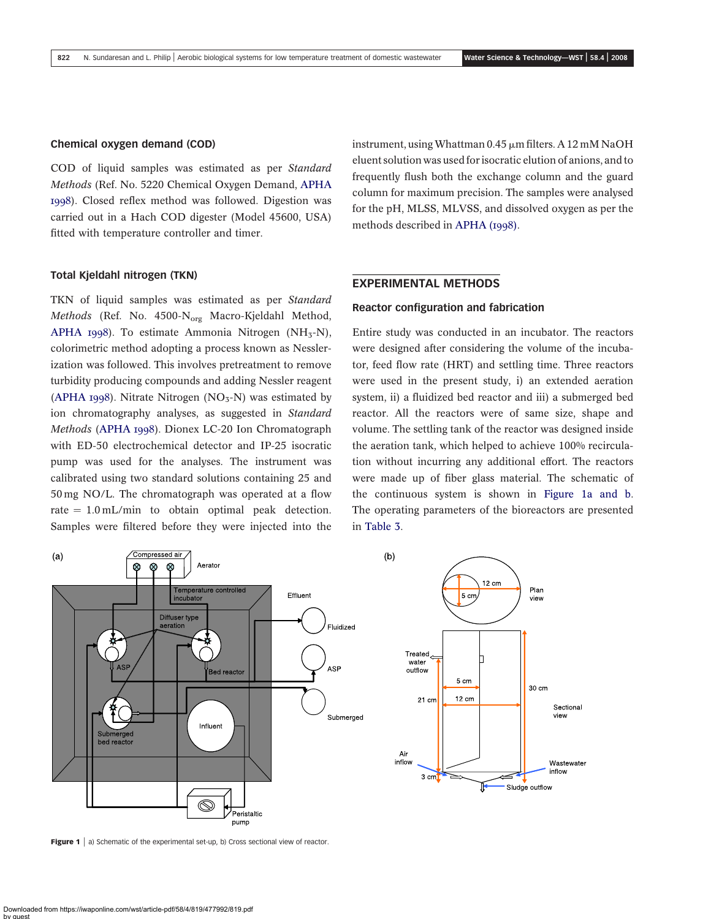#### Chemical oxygen demand (COD)

COD of liquid samples was estimated as per Standard Methods (Ref. No. 5220 Chemical Oxygen Demand, [APHA](#page-10-0) [1998](#page-10-0)). Closed reflex method was followed. Digestion was carried out in a Hach COD digester (Model 45600, USA) fitted with temperature controller and timer.

#### Total Kjeldahl nitrogen (TKN)

TKN of liquid samples was estimated as per Standard Methods (Ref. No. 4500-N<sub>org</sub> Macro-Kjeldahl Method, [APHA 1998](#page-10-0)). To estimate Ammonia Nitrogen (NH<sub>3</sub>-N), colorimetric method adopting a process known as Nesslerization was followed. This involves pretreatment to remove turbidity producing compounds and adding Nessler reagent ([APHA 1998](#page-10-0)). Nitrate Nitrogen  $(NO<sub>3</sub>-N)$  was estimated by ion chromatography analyses, as suggested in Standard Methods ([APHA 1998](#page-10-0)). Dionex LC-20 Ion Chromatograph with ED-50 electrochemical detector and IP-25 isocratic pump was used for the analyses. The instrument was calibrated using two standard solutions containing 25 and 50 mg NO/L. The chromatograph was operated at a flow rate  $= 1.0$  mL/min to obtain optimal peak detection. Samples were filtered before they were injected into the

instrument, using Whattman 0.45  $\mu$ m filters. A 12 mM NaOH eluent solution was used for isocratic elution of anions, and to frequently flush both the exchange column and the guard column for maximum precision. The samples were analysed for the pH, MLSS, MLVSS, and dissolved oxygen as per the methods described in [APHA \(1998\)](#page-10-0).

### EXPERIMENTAL METHODS

### Reactor configuration and fabrication

Entire study was conducted in an incubator. The reactors were designed after considering the volume of the incubator, feed flow rate (HRT) and settling time. Three reactors were used in the present study, i) an extended aeration system, ii) a fluidized bed reactor and iii) a submerged bed reactor. All the reactors were of same size, shape and volume. The settling tank of the reactor was designed inside the aeration tank, which helped to achieve 100% recirculation without incurring any additional effort. The reactors were made up of fiber glass material. The schematic of the continuous system is shown in Figure 1a and b. The operating parameters of the bioreactors are presented in [Table 3](#page-4-0).



Figure  $1 \mid a$ ) Schematic of the experimental set-up, b) Cross sectional view of reactor.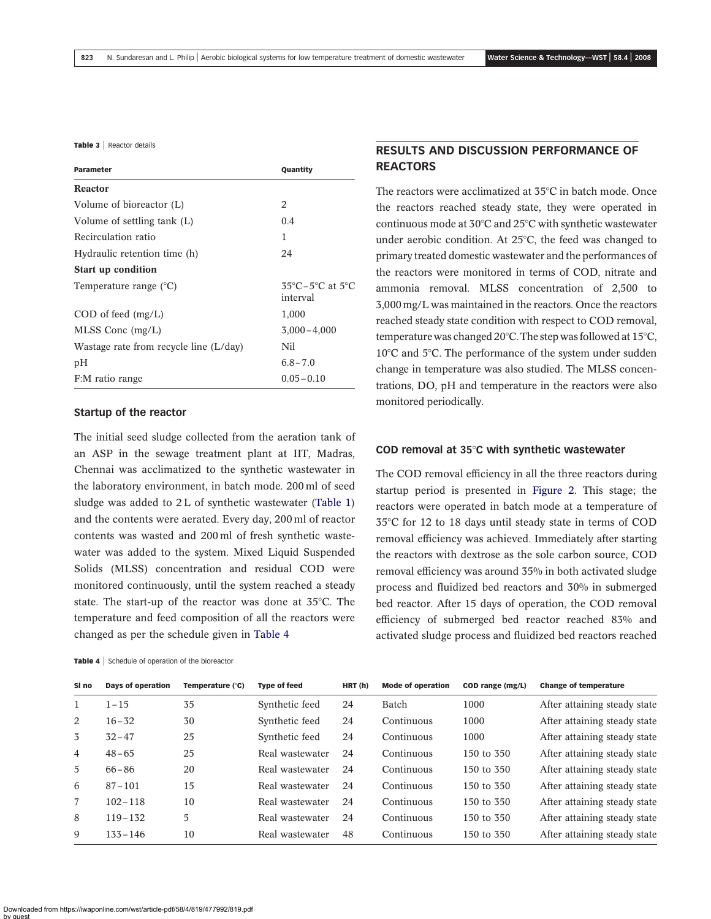<span id="page-4-0"></span>Table 3 | Reactor details

| <b>Parameter</b>                       | Quantity                                                    |  |  |
|----------------------------------------|-------------------------------------------------------------|--|--|
| <b>Reactor</b>                         |                                                             |  |  |
| Volume of bioreactor (L)               | 2                                                           |  |  |
| Volume of settling tank (L)            | 0.4                                                         |  |  |
| Recirculation ratio                    | 1                                                           |  |  |
| Hydraulic retention time (h)           | 24                                                          |  |  |
| <b>Start up condition</b>              |                                                             |  |  |
| Temperature range $(^{\circ}C)$        | $35^{\circ}$ C – $5^{\circ}$ C at $5^{\circ}$ C<br>interval |  |  |
| $COD$ of feed $(mg/L)$                 | 1,000                                                       |  |  |
| $MLSS$ Conc (mg/L)                     | $3,000 - 4,000$                                             |  |  |
| Wastage rate from recycle line (L/day) | Nil                                                         |  |  |
| pН                                     | $6.8 - 7.0$                                                 |  |  |
| F:M ratio range                        | $0.05 - 0.10$                                               |  |  |

#### Startup of the reactor

The initial seed sludge collected from the aeration tank of an ASP in the sewage treatment plant at IIT, Madras, Chennai was acclimatized to the synthetic wastewater in the laboratory environment, in batch mode. 200 ml of seed sludge was added to 2L of synthetic wastewater ([Table 1\)](#page-2-0) and the contents were aerated. Every day, 200 ml of reactor contents was wasted and 200 ml of fresh synthetic wastewater was added to the system. Mixed Liquid Suspended Solids (MLSS) concentration and residual COD were monitored continuously, until the system reached a steady state. The start-up of the reactor was done at  $35^{\circ}$ C. The temperature and feed composition of all the reactors were changed as per the schedule given in Table 4

# RESULTS AND DISCUSSION PERFORMANCE OF **REACTORS**

The reactors were acclimatized at  $35^{\circ}$ C in batch mode. Once the reactors reached steady state, they were operated in continuous mode at  $30^{\circ}$ C and  $25^{\circ}$ C with synthetic wastewater under aerobic condition. At  $25^{\circ}$ C, the feed was changed to primary treated domestic wastewater and the performances of the reactors were monitored in terms of COD, nitrate and ammonia removal. MLSS concentration of 2,500 to 3,000 mg/L was maintained in the reactors. Once the reactors reached steady state condition with respect to COD removal, temperature was changed 20 $^{\circ}$ C. The step was followed at 15 $^{\circ}$ C,  $10^{\circ}$ C and 5 $^{\circ}$ C. The performance of the system under sudden change in temperature was also studied. The MLSS concentrations, DO, pH and temperature in the reactors were also monitored periodically.

#### COD removal at  $35^\circ$ C with synthetic wastewater

The COD removal efficiency in all the three reactors during startup period is presented in [Figure 2.](#page-5-0) This stage; the reactors were operated in batch mode at a temperature of 35°C for 12 to 18 days until steady state in terms of COD removal efficiency was achieved. Immediately after starting the reactors with dextrose as the sole carbon source, COD removal efficiency was around 35% in both activated sludge process and fluidized bed reactors and 30% in submerged bed reactor. After 15 days of operation, the COD removal efficiency of submerged bed reactor reached 83% and activated sludge process and fluidized bed reactors reached

| SI no          | Days of operation | Temperature (°C) | <b>Type of feed</b> | HRT(h) | <b>Mode of operation</b> | COD range (mg/L) | <b>Change of temperature</b> |
|----------------|-------------------|------------------|---------------------|--------|--------------------------|------------------|------------------------------|
| $\mathbf{1}$   | $1 - 15$          | 35               | Synthetic feed      | 24     | Batch                    | 1000             | After attaining steady state |
| 2              | $16 - 32$         | 30               | Synthetic feed      | 24     | Continuous               | 1000             | After attaining steady state |
| 3              | $32 - 47$         | 25               | Synthetic feed      | 24     | Continuous               | 1000             | After attaining steady state |
| $\overline{4}$ | $48 - 65$         | 25               | Real wastewater     | 24     | Continuous               | 150 to 350       | After attaining steady state |
| $\overline{5}$ | $66 - 86$         | 20               | Real wastewater     | 24     | Continuous               | 150 to 350       | After attaining steady state |
| 6              | $87 - 101$        | 15               | Real wastewater     | 24     | Continuous               | 150 to 350       | After attaining steady state |
| 7              | $102 - 118$       | 10               | Real wastewater     | 24     | Continuous               | 150 to 350       | After attaining steady state |
| 8              | $119 - 132$       | 5                | Real wastewater     | 24     | Continuous               | 150 to 350       | After attaining steady state |
| 9              | $133 - 146$       | 10               | Real wastewater     | 48     | Continuous               | 150 to 350       | After attaining steady state |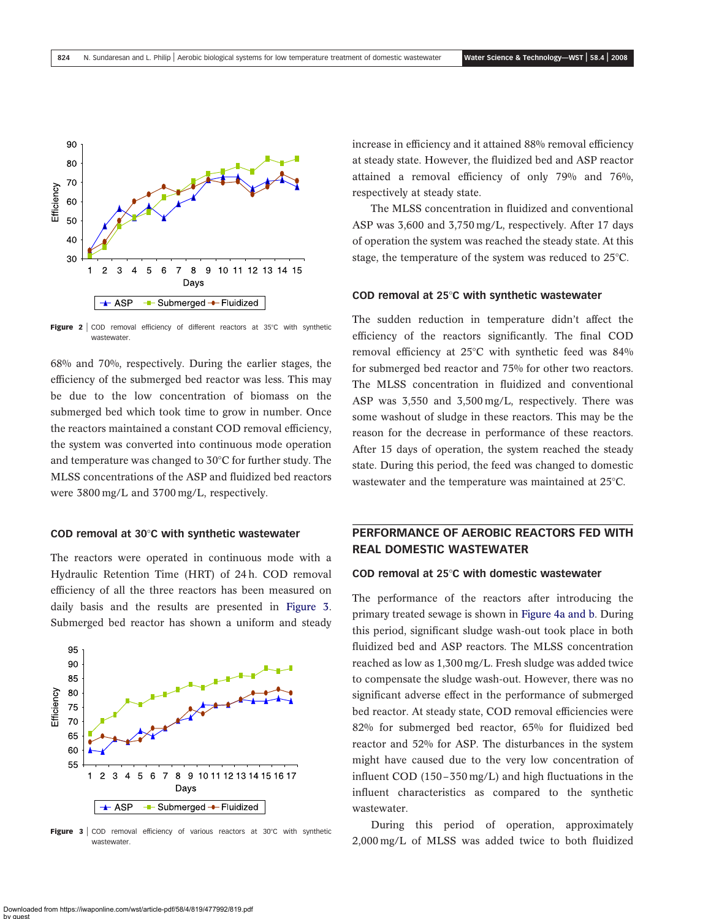<span id="page-5-0"></span>

Figure  $2 \mid$  COD removal efficiency of different reactors at 35°C with synthetic wastewater

68% and 70%, respectively. During the earlier stages, the efficiency of the submerged bed reactor was less. This may be due to the low concentration of biomass on the submerged bed which took time to grow in number. Once the reactors maintained a constant COD removal efficiency, the system was converted into continuous mode operation and temperature was changed to  $30^{\circ}$ C for further study. The MLSS concentrations of the ASP and fluidized bed reactors were 3800 mg/L and 3700 mg/L, respectively.

#### COD removal at  $30^{\circ}$ C with synthetic wastewater

The reactors were operated in continuous mode with a Hydraulic Retention Time (HRT) of 24 h. COD removal efficiency of all the three reactors has been measured on daily basis and the results are presented in Figure 3. Submerged bed reactor has shown a uniform and steady



**Figure 3** COD removal efficiency of various reactors at  $30^{\circ}$ C with synthetic wastewater

increase in efficiency and it attained 88% removal efficiency at steady state. However, the fluidized bed and ASP reactor attained a removal efficiency of only 79% and 76%, respectively at steady state.

The MLSS concentration in fluidized and conventional ASP was 3,600 and 3,750 mg/L, respectively. After 17 days of operation the system was reached the steady state. At this stage, the temperature of the system was reduced to  $25^{\circ}$ C.

#### COD removal at  $25^\circ$ C with synthetic wastewater

The sudden reduction in temperature didn't affect the efficiency of the reactors significantly. The final COD removal efficiency at  $25^{\circ}$ C with synthetic feed was  $84\%$ for submerged bed reactor and 75% for other two reactors. The MLSS concentration in fluidized and conventional ASP was 3,550 and 3,500 mg/L, respectively. There was some washout of sludge in these reactors. This may be the reason for the decrease in performance of these reactors. After 15 days of operation, the system reached the steady state. During this period, the feed was changed to domestic wastewater and the temperature was maintained at  $25^{\circ}$ C.

# PERFORMANCE OF AEROBIC REACTORS FED WITH REAL DOMESTIC WASTEWATER

### COD removal at  $25^\circ$ C with domestic wastewater

The performance of the reactors after introducing the primary treated sewage is shown in [Figure 4a and b](#page-6-0). During this period, significant sludge wash-out took place in both fluidized bed and ASP reactors. The MLSS concentration reached as low as 1,300 mg/L. Fresh sludge was added twice to compensate the sludge wash-out. However, there was no significant adverse effect in the performance of submerged bed reactor. At steady state, COD removal efficiencies were 82% for submerged bed reactor, 65% for fluidized bed reactor and 52% for ASP. The disturbances in the system might have caused due to the very low concentration of influent COD (150–350 mg/L) and high fluctuations in the influent characteristics as compared to the synthetic wastewater.

During this period of operation, approximately 2,000 mg/L of MLSS was added twice to both fluidized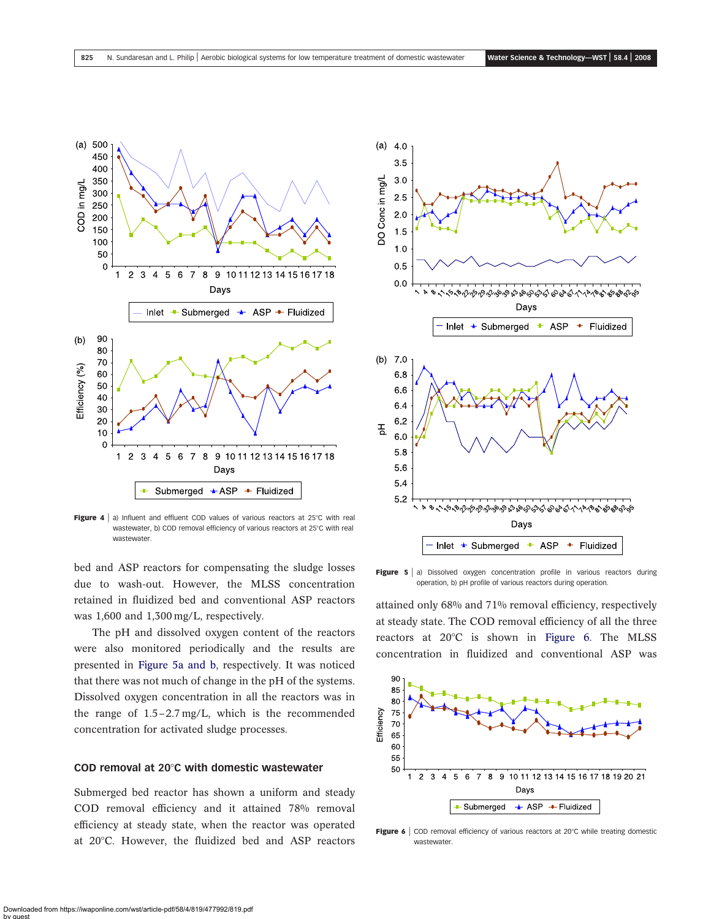<span id="page-6-0"></span>

Figure 4  $\vert$  a) Influent and effluent COD values of various reactors at 25°C with real wastewater, b) COD removal efficiency of various reactors at 25°C with real wastewater.

bed and ASP reactors for compensating the sludge losses due to wash-out. However, the MLSS concentration retained in fluidized bed and conventional ASP reactors was 1,600 and 1,300 mg/L, respectively.

The pH and dissolved oxygen content of the reactors were also monitored periodically and the results are presented in Figure 5a and b, respectively. It was noticed that there was not much of change in the pH of the systems. Dissolved oxygen concentration in all the reactors was in the range of 1.5–2.7 mg/L, which is the recommended concentration for activated sludge processes.

### COD removal at  $20^{\circ}$ C with domestic wastewater

Submerged bed reactor has shown a uniform and steady COD removal efficiency and it attained 78% removal efficiency at steady state, when the reactor was operated at 20°C. However, the fluidized bed and ASP reactors



Figure  $5 \mid a$ ) Dissolved oxygen concentration profile in various reactors during operation, b) pH profile of various reactors during operation.

attained only 68% and 71% removal efficiency, respectively at steady state. The COD removal efficiency of all the three reactors at  $20^{\circ}$ C is shown in Figure 6. The MLSS concentration in fluidized and conventional ASP was



Figure 6  $\vert$  COD removal efficiency of various reactors at 20°C while treating domestic wastewater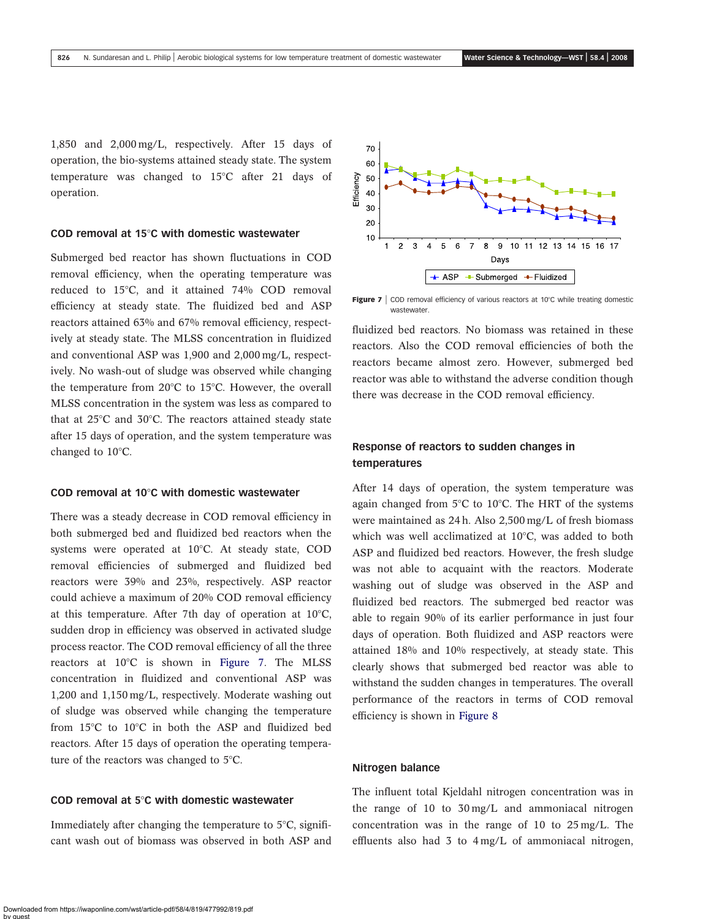1,850 and 2,000 mg/L, respectively. After 15 days of operation, the bio-systems attained steady state. The system temperature was changed to  $15^{\circ}$ C after 21 days of operation.

#### COD removal at 15 $\degree$ C with domestic wastewater

Submerged bed reactor has shown fluctuations in COD removal efficiency, when the operating temperature was reduced to  $15^{\circ}$ C, and it attained 74% COD removal efficiency at steady state. The fluidized bed and ASP reactors attained 63% and 67% removal efficiency, respectively at steady state. The MLSS concentration in fluidized and conventional ASP was 1,900 and 2,000 mg/L, respectively. No wash-out of sludge was observed while changing the temperature from  $20^{\circ}$ C to 15°C. However, the overall MLSS concentration in the system was less as compared to that at  $25^{\circ}$ C and  $30^{\circ}$ C. The reactors attained steady state after 15 days of operation, and the system temperature was changed to  $10^{\circ}$ C.

#### COD removal at 10 $\degree$ C with domestic wastewater

There was a steady decrease in COD removal efficiency in both submerged bed and fluidized bed reactors when the systems were operated at 10°C. At steady state, COD removal efficiencies of submerged and fluidized bed reactors were 39% and 23%, respectively. ASP reactor could achieve a maximum of 20% COD removal efficiency at this temperature. After 7th day of operation at  $10^{\circ}$ C, sudden drop in efficiency was observed in activated sludge process reactor. The COD removal efficiency of all the three reactors at 10°C is shown in Figure 7. The MLSS concentration in fluidized and conventional ASP was 1,200 and 1,150 mg/L, respectively. Moderate washing out of sludge was observed while changing the temperature from  $15^{\circ}$ C to  $10^{\circ}$ C in both the ASP and fluidized bed reactors. After 15 days of operation the operating temperature of the reactors was changed to  $5^{\circ}$ C.

### COD removal at  $5^\circ$ C with domestic wastewater

Immediately after changing the temperature to  $5^{\circ}$ C, significant wash out of biomass was observed in both ASP and



Figure 7  $\vert$  COD removal efficiency of various reactors at 10°C while treating domestic wastewater

fluidized bed reactors. No biomass was retained in these reactors. Also the COD removal efficiencies of both the reactors became almost zero. However, submerged bed reactor was able to withstand the adverse condition though there was decrease in the COD removal efficiency.

## Response of reactors to sudden changes in temperatures

After 14 days of operation, the system temperature was again changed from  $5^{\circ}$ C to 10 $^{\circ}$ C. The HRT of the systems were maintained as 24 h. Also 2,500 mg/L of fresh biomass which was well acclimatized at  $10^{\circ}$ C, was added to both ASP and fluidized bed reactors. However, the fresh sludge was not able to acquaint with the reactors. Moderate washing out of sludge was observed in the ASP and fluidized bed reactors. The submerged bed reactor was able to regain 90% of its earlier performance in just four days of operation. Both fluidized and ASP reactors were attained 18% and 10% respectively, at steady state. This clearly shows that submerged bed reactor was able to withstand the sudden changes in temperatures. The overall performance of the reactors in terms of COD removal efficiency is shown in [Figure 8](#page-8-0)

#### Nitrogen balance

The influent total Kjeldahl nitrogen concentration was in the range of 10 to 30 mg/L and ammoniacal nitrogen concentration was in the range of 10 to 25 mg/L. The effluents also had 3 to 4 mg/L of ammoniacal nitrogen,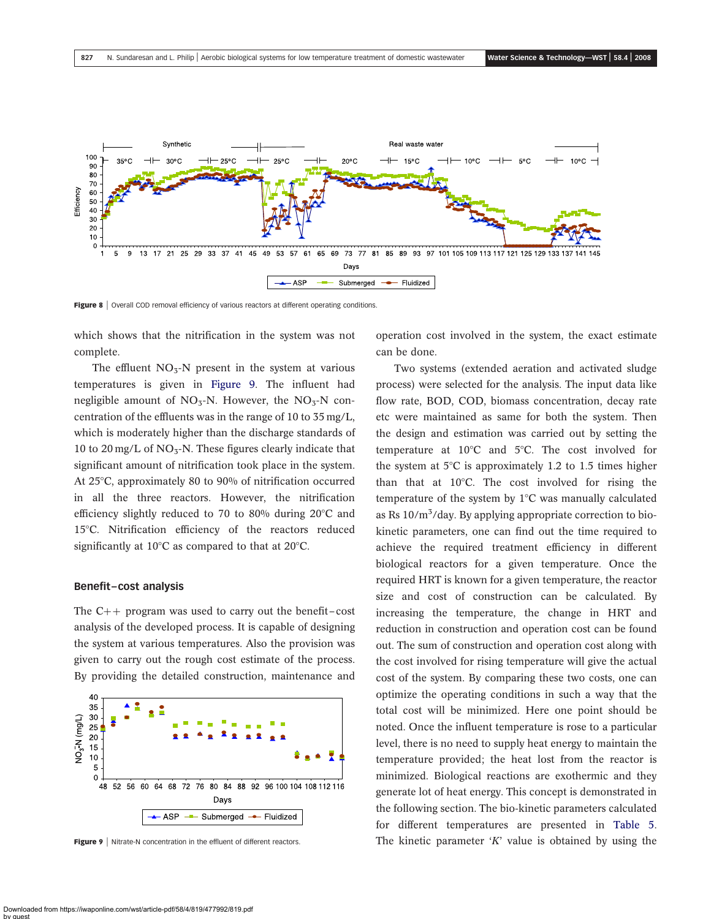<span id="page-8-0"></span>

Figure 8 | Overall COD removal efficiency of various reactors at different operating conditions.

which shows that the nitrification in the system was not complete.

The effluent  $NO<sub>3</sub>-N$  present in the system at various temperatures is given in Figure 9. The influent had negligible amount of  $NO<sub>3</sub>-N$ . However, the  $NO<sub>3</sub>-N$  concentration of the effluents was in the range of 10 to 35 mg/L, which is moderately higher than the discharge standards of 10 to 20 mg/L of  $NO<sub>3</sub>-N$ . These figures clearly indicate that significant amount of nitrification took place in the system. At  $25^{\circ}$ C, approximately 80 to 90% of nitrification occurred in all the three reactors. However, the nitrification efficiency slightly reduced to 70 to 80% during  $20^{\circ}$ C and 15°C. Nitrification efficiency of the reactors reduced significantly at  $10^{\circ}$ C as compared to that at  $20^{\circ}$ C.

#### Benefit–cost analysis

The  $C_{++}$  program was used to carry out the benefit–cost analysis of the developed process. It is capable of designing the system at various temperatures. Also the provision was given to carry out the rough cost estimate of the process. By providing the detailed construction, maintenance and



Figure 9 | Nitrate-N concentration in the effluent of different reactors.

operation cost involved in the system, the exact estimate can be done.

Two systems (extended aeration and activated sludge process) were selected for the analysis. The input data like flow rate, BOD, COD, biomass concentration, decay rate etc were maintained as same for both the system. Then the design and estimation was carried out by setting the temperature at  $10^{\circ}$ C and  $5^{\circ}$ C. The cost involved for the system at  $5^{\circ}$ C is approximately 1.2 to 1.5 times higher than that at  $10^{\circ}$ C. The cost involved for rising the temperature of the system by  $1^{\circ}$ C was manually calculated as Rs 10/m<sup>3</sup>/day. By applying appropriate correction to biokinetic parameters, one can find out the time required to achieve the required treatment efficiency in different biological reactors for a given temperature. Once the required HRT is known for a given temperature, the reactor size and cost of construction can be calculated. By increasing the temperature, the change in HRT and reduction in construction and operation cost can be found out. The sum of construction and operation cost along with the cost involved for rising temperature will give the actual cost of the system. By comparing these two costs, one can optimize the operating conditions in such a way that the total cost will be minimized. Here one point should be noted. Once the influent temperature is rose to a particular level, there is no need to supply heat energy to maintain the temperature provided; the heat lost from the reactor is minimized. Biological reactions are exothermic and they generate lot of heat energy. This concept is demonstrated in the following section. The bio-kinetic parameters calculated for different temperatures are presented in [Table 5.](#page-9-0) The kinetic parameter  $'K'$  value is obtained by using the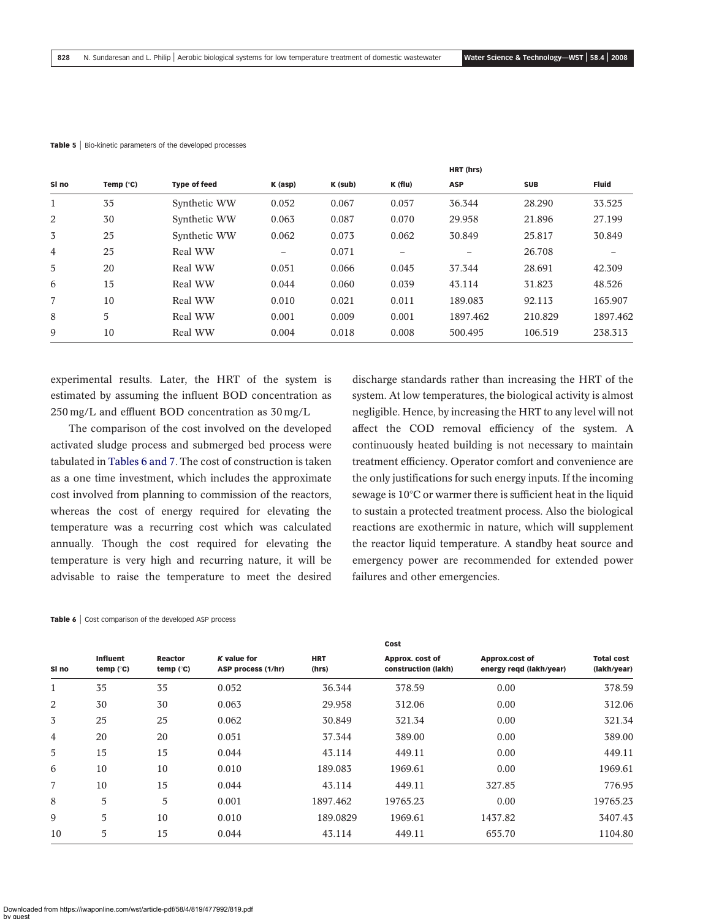| SI no          | Temp $(^{\circ}C)$ | <b>Type of feed</b> | $K$ (asp) | K (sub) | K (flu) | <b>ASP</b> | <b>SUB</b> | <b>Fluid</b> |
|----------------|--------------------|---------------------|-----------|---------|---------|------------|------------|--------------|
| $\mathbf{1}$   | 35                 | Synthetic WW        | 0.052     | 0.067   | 0.057   | 36.344     | 28.290     | 33.525       |
| 2              | 30                 | Synthetic WW        | 0.063     | 0.087   | 0.070   | 29.958     | 21.896     | 27.199       |
| 3              | 25                 | Synthetic WW        | 0.062     | 0.073   | 0.062   | 30.849     | 25.817     | 30.849       |
| $\overline{4}$ | 25                 | Real WW             |           | 0.071   |         |            | 26.708     |              |
| 5              | 20                 | Real WW             | 0.051     | 0.066   | 0.045   | 37.344     | 28.691     | 42.309       |
| 6              | 15                 | Real WW             | 0.044     | 0.060   | 0.039   | 43.114     | 31.823     | 48.526       |
| $\overline{7}$ | 10                 | Real WW             | 0.010     | 0.021   | 0.011   | 189.083    | 92.113     | 165.907      |
| 8              | 5                  | Real WW             | 0.001     | 0.009   | 0.001   | 1897.462   | 210.829    | 1897.462     |
| 9              | 10                 | Real WW             | 0.004     | 0.018   | 0.008   | 500.495    | 106.519    | 238.313      |

#### <span id="page-9-0"></span>Table 5 | Bio-kinetic parameters of the developed processes

experimental results. Later, the HRT of the system is estimated by assuming the influent BOD concentration as 250 mg/L and effluent BOD concentration as 30 mg/L

The comparison of the cost involved on the developed activated sludge process and submerged bed process were tabulated in Tables 6 and 7. The cost of construction is taken as a one time investment, which includes the approximate cost involved from planning to commission of the reactors, whereas the cost of energy required for elevating the temperature was a recurring cost which was calculated annually. Though the cost required for elevating the temperature is very high and recurring nature, it will be advisable to raise the temperature to meet the desired discharge standards rather than increasing the HRT of the system. At low temperatures, the biological activity is almost negligible. Hence, by increasing the HRT to any level will not affect the COD removal efficiency of the system. A continuously heated building is not necessary to maintain treatment efficiency. Operator comfort and convenience are the only justifications for such energy inputs. If the incoming sewage is 10°C or warmer there is sufficient heat in the liquid to sustain a protected treatment process. Also the biological reactions are exothermic in nature, which will supplement the reactor liquid temperature. A standby heat source and emergency power are recommended for extended power failures and other emergencies.

HRT (hrs)

| Table 6   Cost comparison of the developed ASP process |
|--------------------------------------------------------|
|                                                        |

|              |                                |                        |                                   |                     | Cost                                   |                                           |                                  |
|--------------|--------------------------------|------------------------|-----------------------------------|---------------------|----------------------------------------|-------------------------------------------|----------------------------------|
| SI no        | <b>Influent</b><br>temp $(°C)$ | Reactor<br>temp $(°C)$ | K value for<br>ASP process (1/hr) | <b>HRT</b><br>(hrs) | Approx. cost of<br>construction (lakh) | Approx.cost of<br>energy regd (lakh/year) | <b>Total cost</b><br>(lakh/year) |
| $\mathbf{1}$ | 35                             | 35                     | 0.052                             | 36.344              | 378.59                                 | 0.00                                      | 378.59                           |
| 2            | 30                             | 30                     | 0.063                             | 29.958              | 312.06                                 | 0.00                                      | 312.06                           |
| 3            | 25                             | 25                     | 0.062                             | 30.849              | 321.34                                 | 0.00                                      | 321.34                           |
| 4            | 20                             | 20                     | 0.051                             | 37.344              | 389.00                                 | 0.00                                      | 389.00                           |
| 5            | 15                             | 15                     | 0.044                             | 43.114              | 449.11                                 | 0.00                                      | 449.11                           |
| 6            | 10                             | 10                     | 0.010                             | 189.083             | 1969.61                                | 0.00                                      | 1969.61                          |
| 7            | 10                             | 15                     | 0.044                             | 43.114              | 449.11                                 | 327.85                                    | 776.95                           |
| 8            | 5                              | 5                      | 0.001                             | 1897.462            | 19765.23                               | 0.00                                      | 19765.23                         |
| 9            | 5                              | 10                     | 0.010                             | 189.0829            | 1969.61                                | 1437.82                                   | 3407.43                          |
| 10           | 5                              | 15                     | 0.044                             | 43.114              | 449.11                                 | 655.70                                    | 1104.80                          |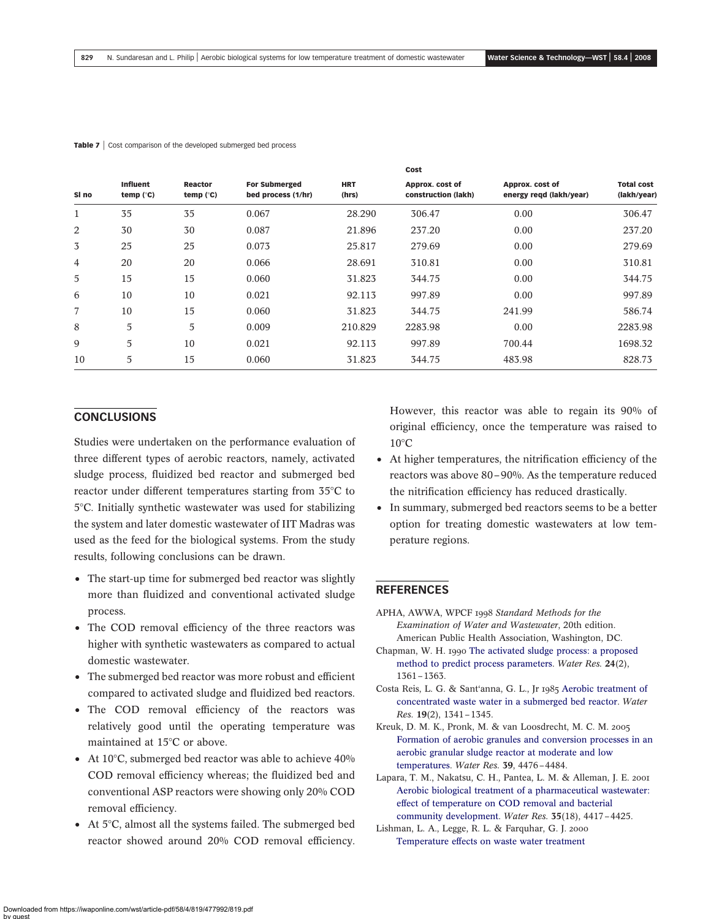|              |                                |                        |                                            |                     | Cost                                   |                                            |                                  |
|--------------|--------------------------------|------------------------|--------------------------------------------|---------------------|----------------------------------------|--------------------------------------------|----------------------------------|
| SI no        | <b>Influent</b><br>temp $(°C)$ | Reactor<br>temp $(°C)$ | <b>For Submerged</b><br>bed process (1/hr) | <b>HRT</b><br>(hrs) | Approx. cost of<br>construction (lakh) | Approx. cost of<br>energy regd (lakh/year) | <b>Total cost</b><br>(lakh/year) |
| $\mathbf{1}$ | 35                             | 35                     | 0.067                                      | 28.290              | 306.47                                 | 0.00                                       | 306.47                           |
| 2            | 30                             | 30                     | 0.087                                      | 21.896              | 237.20                                 | 0.00                                       | 237.20                           |
| 3            | 25                             | 25                     | 0.073                                      | 25.817              | 279.69                                 | 0.00                                       | 279.69                           |
| 4            | 20                             | 20                     | 0.066                                      | 28.691              | 310.81                                 | 0.00                                       | 310.81                           |
| 5            | 15                             | 15                     | 0.060                                      | 31.823              | 344.75                                 | 0.00                                       | 344.75                           |
| 6            | 10                             | 10                     | 0.021                                      | 92.113              | 997.89                                 | 0.00                                       | 997.89                           |
| 7            | 10                             | 15                     | 0.060                                      | 31.823              | 344.75                                 | 241.99                                     | 586.74                           |
| 8            | 5                              | 5                      | 0.009                                      | 210.829             | 2283.98                                | 0.00                                       | 2283.98                          |
| 9            | 5                              | 10                     | 0.021                                      | 92.113              | 997.89                                 | 700.44                                     | 1698.32                          |
| 10           | 5                              | 15                     | 0.060                                      | 31.823              | 344.75                                 | 483.98                                     | 828.73                           |

#### <span id="page-10-0"></span>Table 7 | Cost comparison of the developed submerged bed process

### **CONCLUSIONS**

Studies were undertaken on the performance evaluation of three different types of aerobic reactors, namely, activated sludge process, fluidized bed reactor and submerged bed reactor under different temperatures starting from 35°C to 58C. Initially synthetic wastewater was used for stabilizing the system and later domestic wastewater of IIT Madras was used as the feed for the biological systems. From the study results, following conclusions can be drawn.

- The start-up time for submerged bed reactor was slightly more than fluidized and conventional activated sludge process.
- The COD removal efficiency of the three reactors was higher with synthetic wastewaters as compared to actual domestic wastewater.
- The submerged bed reactor was more robust and efficient compared to activated sludge and fluidized bed reactors.
- The COD removal efficiency of the reactors was relatively good until the operating temperature was maintained at 15°C or above.
- At 10 $\degree$ C, submerged bed reactor was able to achieve 40% COD removal efficiency whereas; the fluidized bed and conventional ASP reactors were showing only 20% COD removal efficiency.
- At  $5^{\circ}$ C, almost all the systems failed. The submerged bed reactor showed around 20% COD removal efficiency.

However, this reactor was able to regain its 90% of original efficiency, once the temperature was raised to  $10^{\circ}$ C

- At higher temperatures, the nitrification efficiency of the reactors was above 80–90%. As the temperature reduced the nitrification efficiency has reduced drastically.
- In summary, submerged bed reactors seems to be a better option for treating domestic wastewaters at low temperature regions.

#### REFERENCES

- APHA, AWWA, WPCF 1998 Standard Methods for the Examination of Water and Wastewater, 20th edition. American Public Health Association, Washington, DC.
- Chapman, W. H. 1990 [The activated sludge process: a proposed](http://dx.doi.org/10.1016/0043-1354(90)90154-X) [method to predict process parameters.](http://dx.doi.org/10.1016/0043-1354(90)90154-X) Water Res. 24(2), 1361–1363.
- Costa Reis, L. G. & Sant'anna, G. L., Jr 1985 [Aerobic treatment of](http://dx.doi.org/10.1016/0043-1354(85)90298-2) [concentrated waste water in a submerged bed reactor.](http://dx.doi.org/10.1016/0043-1354(85)90298-2) Water Res. 19(2), 1341–1345.
- Kreuk, D. M. K., Pronk, M. & van Loosdrecht, M. C. M. 2005 [Formation of aerobic granules and conversion processes in an](http://dx.doi.org/10.1016/j.watres.2005.08.031) [aerobic granular sludge reactor at moderate and low](http://dx.doi.org/10.1016/j.watres.2005.08.031) [temperatures.](http://dx.doi.org/10.1016/j.watres.2005.08.031) Water Res. 39, 4476–4484.
- Lapara, T. M., Nakatsu, C. H., Pantea, L. M. & Alleman, J. E. 2001 [Aerobic biological treatment of a pharmaceutical wastewater:](http://dx.doi.org/10.1016/S0043-1354(01)00178-6) [effect of temperature on COD removal and bacterial](http://dx.doi.org/10.1016/S0043-1354(01)00178-6) [community development](http://dx.doi.org/10.1016/S0043-1354(01)00178-6). Water Res. 35(18), 4417–4425.
- Lishman, L. A., Legge, R. L. & Farquhar, G. J. 2000 [Temperature effects on waste water treatment](http://dx.doi.org/10.1016/S0043-1354(99)00393-0)